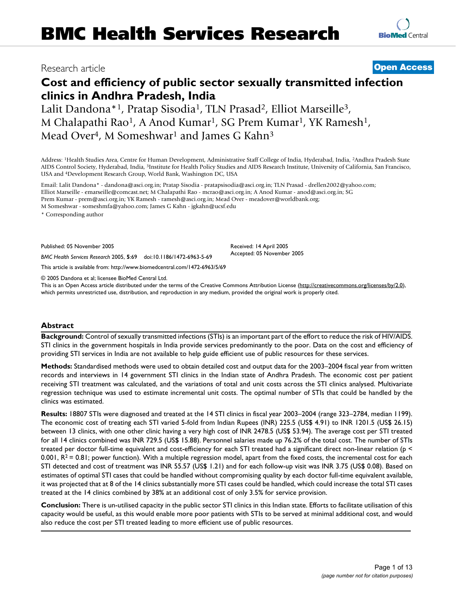# Research article **[Open Access](http://www.biomedcentral.com/info/about/charter/)**

## **Cost and efficiency of public sector sexually transmitted infection clinics in Andhra Pradesh, India**

Lalit Dandona\*<sup>1</sup>, Pratap Sisodia<sup>1</sup>, TLN Prasad<sup>2</sup>, Elliot Marseille<sup>3</sup>, M Chalapathi Rao<sup>1</sup>, A Anod Kumar<sup>1</sup>, SG Prem Kumar<sup>1</sup>, YK Ramesh<sup>1</sup>, Mead Over<sup>4</sup>, M Someshwar<sup>1</sup> and James G Kahn<sup>3</sup>

Address: 1Health Studies Area, Centre for Human Development, Administrative Staff College of India, Hyderabad, India, 2Andhra Pradesh State AIDS Control Society, Hyderabad, India, 3Institute for Health Policy Studies and AIDS Research Institute, University of California, San Francisco, USA and 4Development Research Group, World Bank, Washington DC, USA

Email: Lalit Dandona\* - dandona@asci.org.in; Pratap Sisodia - pratapsisodia@asci.org.in; TLN Prasad - drellen2002@yahoo.com; Elliot Marseille - emarseille@comcast.net; M Chalapathi Rao - mcrao@asci.org.in; A Anod Kumar - anod@asci.org.in; SG Prem Kumar - prem@asci.org.in; YK Ramesh - ramesh@asci.org.in; Mead Over - meadover@worldbank.org; M Someshwar - someshmfa@yahoo.com; James G Kahn - jgkahn@ucsf.edu

\* Corresponding author

Published: 05 November 2005

*BMC Health Services Research* 2005, **5**:69 doi:10.1186/1472-6963-5-69

[This article is available from: http://www.biomedcentral.com/1472-6963/5/69](http://www.biomedcentral.com/1472-6963/5/69)

© 2005 Dandona et al; licensee BioMed Central Ltd.

This is an Open Access article distributed under the terms of the Creative Commons Attribution License [\(http://creativecommons.org/licenses/by/2.0\)](http://creativecommons.org/licenses/by/2.0), which permits unrestricted use, distribution, and reproduction in any medium, provided the original work is properly cited.

Received: 14 April 2005 Accepted: 05 November 2005

## **Abstract**

**Background:** Control of sexually transmitted infections (STIs) is an important part of the effort to reduce the risk of HIV/AIDS. STI clinics in the government hospitals in India provide services predominantly to the poor. Data on the cost and efficiency of providing STI services in India are not available to help guide efficient use of public resources for these services.

**Methods:** Standardised methods were used to obtain detailed cost and output data for the 2003–2004 fiscal year from written records and interviews in 14 government STI clinics in the Indian state of Andhra Pradesh. The economic cost per patient receiving STI treatment was calculated, and the variations of total and unit costs across the STI clinics analysed. Multivariate regression technique was used to estimate incremental unit costs. The optimal number of STIs that could be handled by the clinics was estimated.

**Results:** 18807 STIs were diagnosed and treated at the 14 STI clinics in fiscal year 2003–2004 (range 323–2784, median 1199). The economic cost of treating each STI varied 5-fold from Indian Rupees (INR) 225.5 (US\$ 4.91) to INR 1201.5 (US\$ 26.15) between 13 clinics, with one other clinic having a very high cost of INR 2478.5 (US\$ 53.94). The average cost per STI treated for all 14 clinics combined was INR 729.5 (US\$ 15.88). Personnel salaries made up 76.2% of the total cost. The number of STIs treated per doctor full-time equivalent and cost-efficiency for each STI treated had a significant direct non-linear relation (p < 0.001,  $R^2 = 0.81$ ; power function). With a multiple regression model, apart from the fixed costs, the incremental cost for each STI detected and cost of treatment was INR 55.57 (US\$ 1.21) and for each follow-up visit was INR 3.75 (US\$ 0.08). Based on estimates of optimal STI cases that could be handled without compromising quality by each doctor full-time equivalent available, it was projected that at 8 of the 14 clinics substantially more STI cases could be handled, which could increase the total STI cases treated at the 14 clinics combined by 38% at an additional cost of only 3.5% for service provision.

**Conclusion:** There is un-utilised capacity in the public sector STI clinics in this Indian state. Efforts to facilitate utilisation of this capacity would be useful, as this would enable more poor patients with STIs to be served at minimal additional cost, and would also reduce the cost per STI treated leading to more efficient use of public resources.

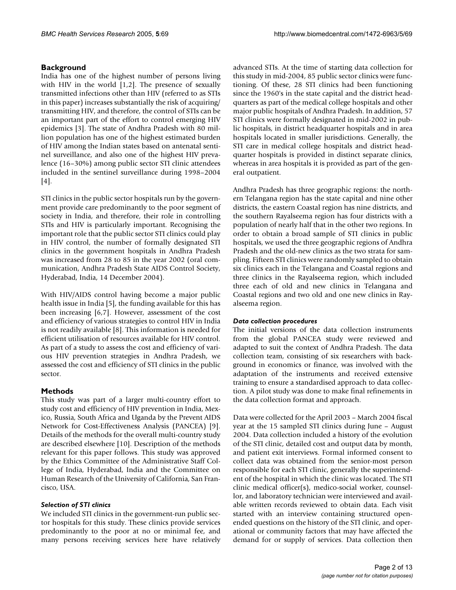#### **Background**

India has one of the highest number of persons living with HIV in the world [1,2]. The presence of sexually transmitted infections other than HIV (referred to as STIs in this paper) increases substantially the risk of acquiring/ transmitting HIV, and therefore, the control of STIs can be an important part of the effort to control emerging HIV epidemics [3]. The state of Andhra Pradesh with 80 million population has one of the highest estimated burden of HIV among the Indian states based on antenatal sentinel surveillance, and also one of the highest HIV prevalence (16–30%) among public sector STI clinic attendees included in the sentinel surveillance during 1998–2004 [4].

STI clinics in the public sector hospitals run by the government provide care predominantly to the poor segment of society in India, and therefore, their role in controlling STIs and HIV is particularly important. Recognising the important role that the public sector STI clinics could play in HIV control, the number of formally designated STI clinics in the government hospitals in Andhra Pradesh was increased from 28 to 85 in the year 2002 (oral communication, Andhra Pradesh State AIDS Control Society, Hyderabad, India, 14 December 2004).

With HIV/AIDS control having become a major public health issue in India [5], the funding available for this has been increasing [6,7]. However, assessment of the cost and efficiency of various strategies to control HIV in India is not readily available [8]. This information is needed for efficient utilisation of resources available for HIV control. As part of a study to assess the cost and efficiency of various HIV prevention strategies in Andhra Pradesh, we assessed the cost and efficiency of STI clinics in the public sector.

#### **Methods**

This study was part of a larger multi-country effort to study cost and efficiency of HIV prevention in India, Mexico, Russia, South Africa and Uganda by the Prevent AIDS Network for Cost-Effectiveness Analysis (PANCEA) [9]. Details of the methods for the overall multi-country study are described elsewhere [10]. Description of the methods relevant for this paper follows. This study was approved by the Ethics Committee of the Administrative Staff College of India, Hyderabad, India and the Committee on Human Research of the University of California, San Francisco, USA.

#### *Selection of STI clinics*

We included STI clinics in the government-run public sector hospitals for this study. These clinics provide services predominantly to the poor at no or minimal fee, and many persons receiving services here have relatively advanced STIs. At the time of starting data collection for this study in mid-2004, 85 public sector clinics were functioning. Of these, 28 STI clinics had been functioning since the 1960's in the state capital and the district headquarters as part of the medical college hospitals and other major public hospitals of Andhra Pradesh. In addition, 57 STI clinics were formally designated in mid-2002 in public hospitals, in district headquarter hospitals and in area hospitals located in smaller jurisdictions. Generally, the STI care in medical college hospitals and district headquarter hospitals is provided in distinct separate clinics, whereas in area hospitals it is provided as part of the general outpatient.

Andhra Pradesh has three geographic regions: the northern Telangana region has the state capital and nine other districts, the eastern Coastal region has nine districts, and the southern Rayalseema region has four districts with a population of nearly half that in the other two regions. In order to obtain a broad sample of STI clinics in public hospitals, we used the three geographic regions of Andhra Pradesh and the old-new clinics as the two strata for sampling. Fifteen STI clinics were randomly sampled to obtain six clinics each in the Telangana and Coastal regions and three clinics in the Rayalseema region, which included three each of old and new clinics in Telangana and Coastal regions and two old and one new clinics in Rayalseema region.

#### *Data collection procedures*

The initial versions of the data collection instruments from the global PANCEA study were reviewed and adapted to suit the context of Andhra Pradesh. The data collection team, consisting of six researchers with background in economics or finance, was involved with the adaptation of the instruments and received extensive training to ensure a standardised approach to data collection. A pilot study was done to make final refinements in the data collection format and approach.

Data were collected for the April 2003 – March 2004 fiscal year at the 15 sampled STI clinics during June – August 2004. Data collection included a history of the evolution of the STI clinic, detailed cost and output data by month, and patient exit interviews. Formal informed consent to collect data was obtained from the senior-most person responsible for each STI clinic, generally the superintendent of the hospital in which the clinic was located. The STI clinic medical officer(s), medico-social worker, counsellor, and laboratory technician were interviewed and available written records reviewed to obtain data. Each visit started with an interview containing structured openended questions on the history of the STI clinic, and operational or community factors that may have affected the demand for or supply of services. Data collection then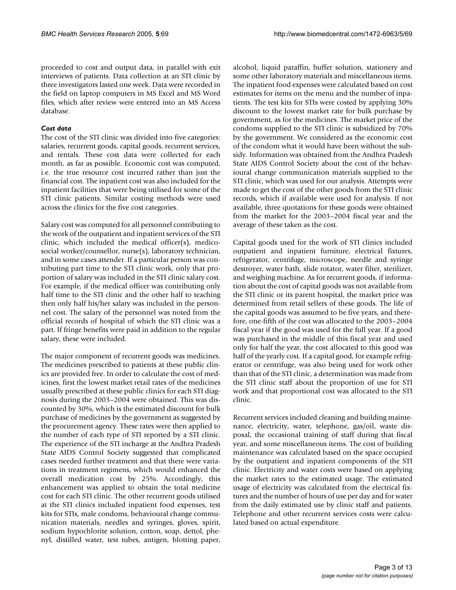proceeded to cost and output data, in parallel with exit interviews of patients. Data collection at an STI clinic by three investigators lasted one week. Data were recorded in the field on laptop computers in MS Excel and MS Word files, which after review were entered into an MS Access database.

#### *Cost data*

The cost of the STI clinic was divided into five categories: salaries, recurrent goods, capital goods, recurrent services, and rentals. These cost data were collected for each month, as far as possible. Economic cost was computed, i.e. the true resource cost incurred rather than just the financial cost. The inpatient cost was also included for the inpatient facilities that were being utilised for some of the STI clinic patients. Similar costing methods were used across the clinics for the five cost categories.

Salary cost was computed for all personnel contributing to the work of the outpatient and inpatient services of the STI clinic, which included the medical officer(s), medicosocial worker/counsellor, nurse(s), laboratory technician, and in some cases attender. If a particular person was contributing part time to the STI clinic work, only that proportion of salary was included in the STI clinic salary cost. For example, if the medical officer was contributing only half time to the STI clinic and the other half to teaching then only half his/her salary was included in the personnel cost. The salary of the personnel was noted from the official records of hospital of which the STI clinic was a part. If fringe benefits were paid in addition to the regular salary, these were included.

The major component of recurrent goods was medicines. The medicines prescribed to patients at these public clinics are provided free. In order to calculate the cost of medicines, first the lowest market retail rates of the medicines usually prescribed at these public clinics for each STI diagnosis during the 2003–2004 were obtained. This was discounted by 30%, which is the estimated discount for bulk purchase of medicines by the government as suggested by the procurement agency. These rates were then applied to the number of each type of STI reported by a STI clinic. The experience of the STI incharge at the Andhra Pradesh State AIDS Control Society suggested that complicated cases needed further treatment and that there were variations in treatment regimens, which would enhanced the overall medication cost by 25%. Accordingly, this enhancement was applied to obtain the total medicine cost for each STI clinic. The other recurrent goods utilised at the STI clinics included inpatient food expenses, test kits for STIs, male condoms, behavioural change communication materials, needles and syringes, gloves, spirit, sodium hypochlorite solution, cotton, soap, dettol, phenyl, distilled water, test tubes, antigen, blotting paper,

alcohol, liquid paraffin, buffer solution, stationery and some other laboratory materials and miscellaneous items. The inpatient food expenses were calculated based on cost estimates for items on the menu and the number of inpatients. The test kits for STIs were costed by applying 30% discount to the lowest market rate for bulk purchase by government, as for the medicines. The market price of the condoms supplied to the STI clinic is subsidized by 70% by the government. We considered as the economic cost of the condom what it would have been without the subsidy. Information was obtained from the Andhra Pradesh State AIDS Control Society about the cost of the behavioural change communication materials supplied to the STI clinic, which was used for our analysis. Attempts were made to get the cost of the other goods from the STI clinic records, which if available were used for analysis. If not available, three quotations for these goods were obtained from the market for the 2003–2004 fiscal year and the average of these taken as the cost.

Capital goods used for the work of STI clinics included outpatient and inpatient furniture, electrical fixtures, refrigerator, centrifuge, microscope, needle and syringe destroyer, water bath, slide rotator, water filter, sterilizer, and weighing machine. As for recurrent goods, if information about the cost of capital goods was not available from the STI clinic or its parent hospital, the market price was determined from retail sellers of these goods. The life of the capital goods was assumed to be five years, and therefore, one-fifth of the cost was allocated to the 2003–2004 fiscal year if the good was used for the full year. If a good was purchased in the middle of this fiscal year and used only for half the year, the cost allocated to this good was half of the yearly cost. If a capital good, for example refrigerator or centrifuge, was also being used for work other than that of the STI clinic, a determination was made from the STI clinic staff about the proportion of use for STI work and that proportional cost was allocated to the STI clinic.

Recurrent services included cleaning and building maintenance, electricity, water, telephone, gas/oil, waste disposal, the occasional training of staff during that fiscal year, and some miscellaneous items. The cost of building maintenance was calculated based on the space occupied by the outpatient and inpatient components of the STI clinic. Electricity and water costs were based on applying the market rates to the estimated usage. The estimated usage of electricity was calculated from the electrical fixtures and the number of hours of use per day and for water from the daily estimated use by clinic staff and patients. Telephone and other recurrent services costs were calculated based on actual expenditure.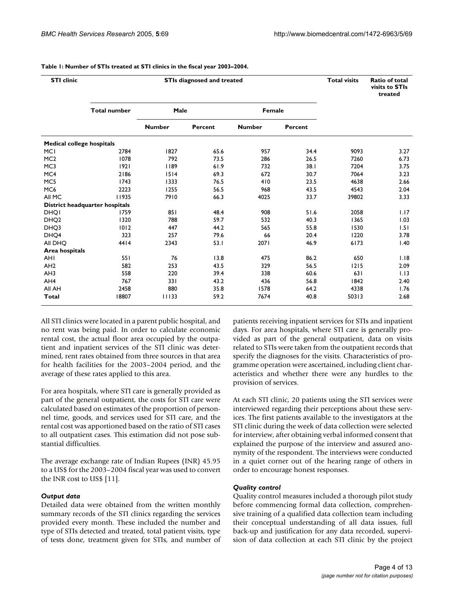| <b>STI</b> clinic                |                                |               | <b>STIs diagnosed and treated</b> |               |         | <b>Total visits</b> | <b>Ratio of total</b><br>visits to STIs<br>treated |
|----------------------------------|--------------------------------|---------------|-----------------------------------|---------------|---------|---------------------|----------------------------------------------------|
|                                  | <b>Total number</b>            | Male          |                                   | Female        |         |                     |                                                    |
|                                  |                                | <b>Number</b> | Percent                           | <b>Number</b> | Percent |                     |                                                    |
| <b>Medical college hospitals</b> |                                |               |                                   |               |         |                     |                                                    |
| MCI                              | 2784                           | 1827          | 65.6                              | 957           | 34.4    | 9093                | 3.27                                               |
| MC <sub>2</sub>                  | 1078                           | 792           | 73.5                              | 286           | 26.5    | 7260                | 6.73                                               |
| MC3                              | 1921                           | 1189          | 61.9                              | 732           | 38.1    | 7204                | 3.75                                               |
| MC4                              | 2186                           | 1514          | 69.3                              | 672           | 30.7    | 7064                | 3.23                                               |
| MC5                              | 1743                           | 1333          | 76.5                              | 410           | 23.5    | 4638                | 2.66                                               |
| MC <sub>6</sub>                  | 2223                           | 1255          | 56.5                              | 968           | 43.5    | 4543                | 2.04                                               |
| All MC                           | 11935                          | 7910          | 66.3                              | 4025          | 33.7    | 39802               | 3.33                                               |
|                                  | District headquarter hospitals |               |                                   |               |         |                     |                                                    |
| <b>DHQI</b>                      | 1759                           | 851           | 48.4                              | 908           | 51.6    | 2058                | 1.17                                               |
| DHQ <sub>2</sub>                 | 1320                           | 788           | 59.7                              | 532           | 40.3    | 1365                | 1.03                                               |
| DHQ3                             | 1012                           | 447           | 44.2                              | 565           | 55.8    | 1530                | 1.51                                               |
| DHQ4                             | 323                            | 257           | 79.6                              | 66            | 20.4    | 1220                | 3.78                                               |
| All DHO                          | 4414                           | 2343          | 53.1                              | 2071          | 46.9    | 6173                | 1.40                                               |
| Area hospitals                   |                                |               |                                   |               |         |                     |                                                    |
| AHI                              | 551                            | 76            | 13.8                              | 475           | 86.2    | 650                 | 1.18                                               |
| AH2                              | 582                            | 253           | 43.5                              | 329           | 56.5    | 1215                | 2.09                                               |
| AH3                              | 558                            | 220           | 39.4                              | 338           | 60.6    | 631                 | 1.13                                               |
| AH4                              | 767                            | 331           | 43.2                              | 436           | 56.8    | 1842                | 2.40                                               |
| All AH                           | 2458                           | 880           | 35.8                              | 1578          | 64.2    | 4338                | 1.76                                               |
| Total                            | 18807                          | 11133         | 59.2                              | 7674          | 40.8    | 50313               | 2.68                                               |

**Table 1: Number of STIs treated at STI clinics in the fiscal year 2003–2004.**

All STI clinics were located in a parent public hospital, and no rent was being paid. In order to calculate economic rental cost, the actual floor area occupied by the outpatient and inpatient services of the STI clinic was determined, rent rates obtained from three sources in that area for health facilities for the 2003–2004 period, and the average of these rates applied to this area.

For area hospitals, where STI care is generally provided as part of the general outpatient, the costs for STI care were calculated based on estimates of the proportion of personnel time, goods, and services used for STI care, and the rental cost was apportioned based on the ratio of STI cases to all outpatient cases. This estimation did not pose substantial difficulties.

The average exchange rate of Indian Rupees (INR) 45.95 to a US\$ for the 2003–2004 fiscal year was used to convert the INR cost to US\$ [11].

#### *Output data*

Detailed data were obtained from the written monthly summary records of the STI clinics regarding the services provided every month. These included the number and type of STIs detected and treated, total patient visits, type of tests done, treatment given for STIs, and number of patients receiving inpatient services for STIs and inpatient days. For area hospitals, where STI care is generally provided as part of the general outpatient, data on visits related to STIs were taken from the outpatient records that specify the diagnoses for the visits. Characteristics of programme operation were ascertained, including client characteristics and whether there were any hurdles to the provision of services.

At each STI clinic, 20 patients using the STI services were interviewed regarding their perceptions about these services. The first patients available to the investigators at the STI clinic during the week of data collection were selected for interview, after obtaining verbal informed consent that explained the purpose of the interview and assured anonymity of the respondent. The interviews were conducted in a quiet corner out of the hearing range of others in order to encourage honest responses.

#### *Quality control*

Quality control measures included a thorough pilot study before commencing formal data collection, comprehensive training of a qualified data collection team including their conceptual understanding of all data issues, full back-up and justification for any data recorded, supervision of data collection at each STI clinic by the project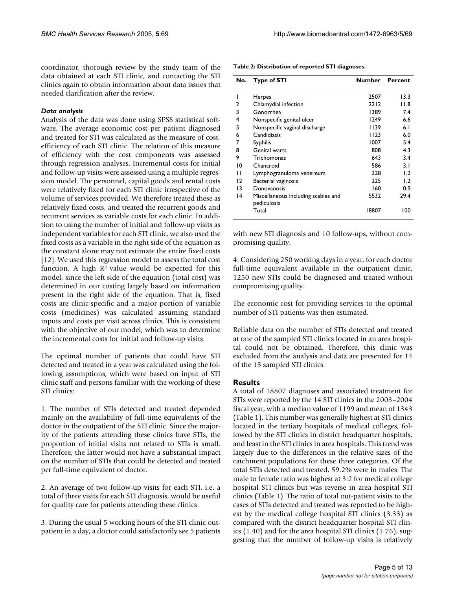coordinator, thorough review by the study team of the data obtained at each STI clinic, and contacting the STI clinics again to obtain information about data issues that needed clarification after the review.

#### *Data analysis*

Analysis of the data was done using SPSS statistical software. The average economic cost per patient diagnosed and treated for STI was calculated as the measure of costefficiency of each STI clinic. The relation of this measure of efficiency with the cost components was assessed through regression analyses. Incremental costs for initial and follow-up visits were assessed using a multiple regression model. The personnel, capital goods and rental costs were relatively fixed for each STI clinic irrespective of the volume of services provided. We therefore treated these as relatively fixed costs, and treated the recurrent goods and recurrent services as variable costs for each clinic. In addition to using the number of initial and follow-up visits as independent variables for each STI clinic, we also used the fixed costs as a variable in the right side of the equation as the constant alone may not estimate the entire fixed costs [12]. We used this regression model to assess the total cost function. A high  $\mathbb{R}^2$  value would be expected for this model, since the left side of the equation (total cost) was determined in our costing largely based on information present in the right side of the equation. That is, fixed costs are clinic-specific and a major portion of variable costs (medicines) was calculated assuming standard inputs and costs per visit across clinics. This is consistent with the objective of our model, which was to determine the incremental costs for initial and follow-up visits.

The optimal number of patients that could have STI detected and treated in a year was calculated using the following assumptions, which were based on input of STI clinic staff and persons familiar with the working of these STI clinics:

1. The number of STIs detected and treated depended mainly on the availability of full-time equivalents of the doctor in the outpatient of the STI clinic. Since the majority of the patients attending these clinics have STIs, the proportion of initial visits not related to STIs is small. Therefore, the latter would not have a substantial impact on the number of STIs that could be detected and treated per full-time equivalent of doctor.

2. An average of two follow-up visits for each STI, i.e. a total of three visits for each STI diagnosis, would be useful for quality care for patients attending these clinics.

3. During the usual 5 working hours of the STI clinic outpatient in a day, a doctor could satisfactorily see 5 patients

|  |  |  | Table 2: Distribution of reported STI diagnoses. |
|--|--|--|--------------------------------------------------|
|--|--|--|--------------------------------------------------|

| No. | <b>Type of STI</b>                                 | Number Percent |               |
|-----|----------------------------------------------------|----------------|---------------|
|     | Herpes                                             | 2507           | 13.3          |
| 2   | Chlamydial infection                               | 2212           | 11.8          |
| 3   | Gonorrhea                                          | 1389           | 7.4           |
| 4   | Nonspecific genital ulcer                          | 1249           | 6.6           |
| 5   | Nonspecific vaginal discharge                      | 1139           | 6. I          |
| 6   | Candidiasis                                        | 1123           | 6.0           |
| 7   | <b>Syphilis</b>                                    | 1007           | 5.4           |
| 8   | Genital warts                                      | 808            | 4.3           |
| 9   | Trichomonas                                        | 643            | 3.4           |
| 10  | Chancroid                                          | 586            | 3.1           |
| Н   | Lymphogranuloma venereum                           | 228            | 1.2           |
| 12  | Bacterial vaginosis                                | 225            | $\mathsf{L}2$ |
| 13  | Donovanosis                                        | 160            | 0.9           |
| 14  | Miscellaneous including scabies and<br>pediculosis | 5532           | 29.4          |
|     | Total                                              | 18807          | 100           |

with new STI diagnosis and 10 follow-ups, without compromising quality.

4. Considering 250 working days in a year, for each doctor full-time equivalent available in the outpatient clinic, 1250 new STIs could be diagnosed and treated without compromising quality.

The economic cost for providing services to the optimal number of STI patients was then estimated.

Reliable data on the number of STIs detected and treated at one of the sampled STI clinics located in an area hospital could not be obtained. Therefore, this clinic was excluded from the analysis and data are presented for 14 of the 15 sampled STI clinics.

#### **Results**

A total of 18807 diagnoses and associated treatment for STIs were reported by the 14 STI clinics in the 2003–2004 fiscal year, with a median value of 1199 and mean of 1343 (Table 1). This number was generally highest at STI clinics located in the tertiary hospitals of medical colleges, followed by the STI clinics in district headquarter hospitals, and least in the STI clinics in area hospitals. This trend was largely due to the differences in the relative sizes of the catchment populations for these three categories. Of the total STIs detected and treated, 59.2% were in males. The male to female ratio was highest at 3:2 for medical college hospital STI clinics but was reverse in area hospital STI clinics (Table 1). The ratio of total out-patient visits to the cases of STIs detected and treated was reported to be highest by the medical college hospital STI clinics (3.33) as compared with the district headquarter hospital STI clinics (1.40) and for the area hospital STI clinics (1.76), suggesting that the number of follow-up visits is relatively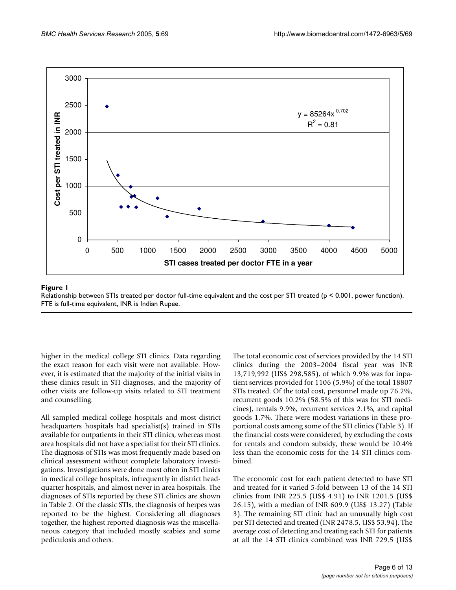

Relationship between STIs treated per docto FTE is full-time equivale **Figure 1** nt, INR is Indian Rupeer full-time equivalent and the cost per STI treated (p < 0.001, power function).

Relationship between STIs treated per doctor full-time equivalent and the cost per STI treated (p < 0.001, power function). FTE is full-time equivalent, INR is Indian Rupee.

higher in the medical college STI clinics. Data regarding the exact reason for each visit were not available. However, it is estimated that the majority of the initial visits in these clinics result in STI diagnoses, and the majority of other visits are follow-up visits related to STI treatment and counselling.

All sampled medical college hospitals and most district headquarters hospitals had specialist(s) trained in STIs available for outpatients in their STI clinics, whereas most area hospitals did not have a specialist for their STI clinics. The diagnosis of STIs was most frequently made based on clinical assessment without complete laboratory investigations. Investigations were done most often in STI clinics in medical college hospitals, infrequently in district headquarter hospitals, and almost never in area hospitals. The diagnoses of STIs reported by these STI clinics are shown in Table 2. Of the classic STIs, the diagnosis of herpes was reported to be the highest. Considering all diagnoses together, the highest reported diagnosis was the miscellaneous category that included mostly scabies and some pediculosis and others.

The total economic cost of services provided by the 14 STI clinics during the 2003–2004 fiscal year was INR 13,719,992 (US\$ 298,585), of which 9.9% was for inpatient services provided for 1106 (5.9%) of the total 18807 STIs treated. Of the total cost, personnel made up 76.2%, recurrent goods 10.2% (58.5% of this was for STI medicines), rentals 9.9%, recurrent services 2.1%, and capital goods 1.7%. There were modest variations in these proportional costs among some of the STI clinics (Table 3). If the financial costs were considered, by excluding the costs for rentals and condom subsidy, these would be 10.4% less than the economic costs for the 14 STI clinics combined.

The economic cost for each patient detected to have STI and treated for it varied 5-fold between 13 of the 14 STI clinics from INR 225.5 (US\$ 4.91) to INR 1201.5 (US\$ 26.15), with a median of INR 609.9 (US\$ 13.27) (Table 3). The remaining STI clinic had an unusually high cost per STI detected and treated (INR 2478.5, US\$ 53.94). The average cost of detecting and treating each STI for patients at all the 14 STI clinics combined was INR 729.5 (US\$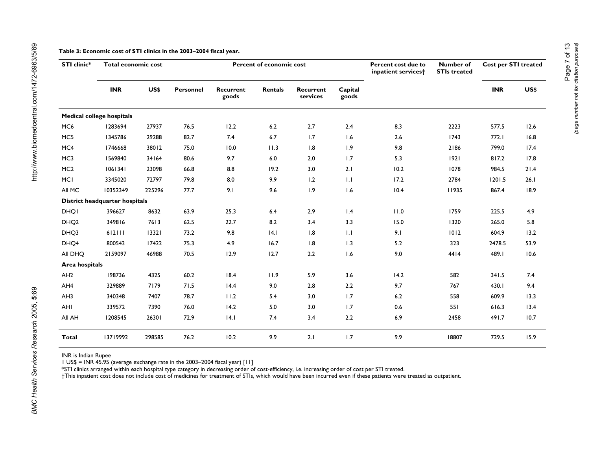| STI clinic*      | Total economic cost            |        | <b>Percent of economic cost</b> |                    |         |                              |                  | Percent cost due to<br>inpatient services† | Number of<br><b>STIs treated</b> | Cost per STI treat |                 |
|------------------|--------------------------------|--------|---------------------------------|--------------------|---------|------------------------------|------------------|--------------------------------------------|----------------------------------|--------------------|-----------------|
|                  | <b>INR</b>                     | US\$   | Personnel                       | Recurrent<br>goods | Rentals | <b>Recurrent</b><br>services | Capital<br>goods |                                            |                                  | <b>INR</b>         | US <sub>1</sub> |
|                  | Medical college hospitals      |        |                                 |                    |         |                              |                  |                                            |                                  |                    |                 |
| MC <sub>6</sub>  | 1283694                        | 27937  | 76.5                            | 12.2               | 6.2     | 2.7                          | 2.4              | 8.3                                        | 2223                             | 577.5              | 12.6            |
| MC5              | 1345786                        | 29288  | 82.7                            | 7.4                | 6.7     | 1.7                          | 1.6              | 2.6                                        | 1743                             | 772.1              | 16.8            |
| MC4              | 1746668                        | 38012  | 75.0                            | 10.0               | 11.3    | 1.8                          | 1.9              | 9.8                                        | 2186                             | 799.0              | 17.4            |
| MC3              | 1569840                        | 34164  | 80.6                            | 9.7                | 6.0     | 2.0                          | 1.7              | 5.3                                        | 1921                             | 817.2              | 17.8            |
| MC <sub>2</sub>  | 1061341                        | 23098  | 66.8                            | 8.8                | 19.2    | 3.0                          | 2.1              | 10.2                                       | 1078                             | 984.5              | 21.4            |
| MCI              | 3345020                        | 72797  | 79.8                            | 8.0                | 9.9     | 1.2                          | 1.1              | 17.2                                       | 2784                             | 1201.5             | 26.1            |
| All MC           | 10352349                       | 225296 | 77.7                            | 9.1                | 9.6     | 1.9                          | 1.6              | 10.4                                       | 11935                            | 867.4              | 18.9            |
|                  | District headquarter hospitals |        |                                 |                    |         |                              |                  |                                            |                                  |                    |                 |
| <b>DHOI</b>      | 396627                         | 8632   | 63.9                            | 25.3               | 6.4     | 2.9                          | 1.4              | 11.0                                       | 1759                             | 225.5              | 4.9             |
| DHQ <sub>2</sub> | 349816                         | 7613   | 62.5                            | 22.7               | 8.2     | 3.4                          | 3.3              | 15.0                                       | 1320                             | 265.0              | 5.8             |
| DHQ3             | 612111                         | 13321  | 73.2                            | 9.8                | 4.1     | 1.8                          | 1.1              | 9.1                                        | 1012                             | 604.9              | 13.2            |
| DHQ4             | 800543                         | 17422  | 75.3                            | 4.9                | 16.7    | 1.8                          | 1.3              | 5.2                                        | 323                              | 2478.5             | 53.9            |
| All DHQ          | 2159097                        | 46988  | 70.5                            | 12.9               | 12.7    | 2.2                          | 1.6              | 9.0                                        | 4414                             | 489.I              | 10.6            |
| Area hospitals   |                                |        |                                 |                    |         |                              |                  |                                            |                                  |                    |                 |
| AH2              | 198736                         | 4325   | 60.2                            | 18.4               | 11.9    | 5.9                          | 3.6              | 14.2                                       | 582                              | 341.5              | 7.4             |
| AH4              | 329889                         | 7179   | 71.5                            | 14.4               | 9.0     | 2.8                          | 2.2              | 9.7                                        | 767                              | 430.I              | 9.4             |
| AH3              | 340348                         | 7407   | 78.7                            | 11.2               | 5.4     | 3.0                          | 1.7              | 6.2                                        | 558                              | 609.9              | 13.3            |
| AHI              | 339572                         | 7390   | 76.0                            | 14.2               | 5.0     | 3.0                          | 1.7              | 0.6                                        | 551                              | 616.3              | 13.4            |
| All AH           | 1208545                        | 26301  | 72.9                            | 4.1                | 7.4     | 3.4                          | 2.2              | 6.9                                        | 2458                             | 491.7              | 10.7            |

**Table 3: Economic cost of STI clinics in the 2003–2004 fiscal year.**

INR is Indian Rupee

1 US\$ = INR 45.95 (average exchange rate in the 2003–2004 fiscal year) [11]

\*STI clinics arranged within each hospital type category in decreasing order of cost-efficiency, i.e. increasing order of cost per STI treated.

†This inpatient cost does not include cost of medicines for treatment of STIs, which would have been incurred even if these patients were treated as outpatient.

**Total** 13719992 298585 76.2 10.2 9.9 2.1 1.7 9.9 18807 729.5 15.9

**Cost per STI treated**

**INR US\$**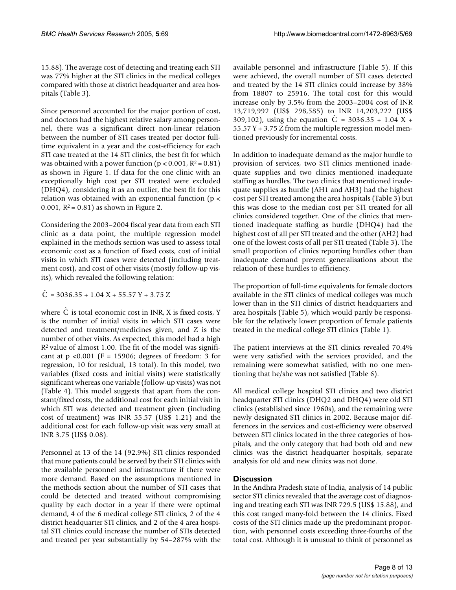15.88). The average cost of detecting and treating each STI was 77% higher at the STI clinics in the medical colleges compared with those at district headquarter and area hospitals (Table 3).

Since personnel accounted for the major portion of cost, and doctors had the highest relative salary among personnel, there was a significant direct non-linear relation between the number of STI cases treated per doctor fulltime equivalent in a year and the cost-efficiency for each STI case treated at the 14 STI clinics, the best fit for which was obtained with a power function ( $p < 0.001$ ,  $R^2 = 0.81$ ) as shown in Figure 1. If data for the one clinic with an exceptionally high cost per STI treated were excluded (DHQ4), considering it as an outlier, the best fit for this relation was obtained with an exponential function (p < 0.001,  $R^2 = 0.81$ ) as shown in Figure 2.

Considering the 2003–2004 fiscal year data from each STI clinic as a data point, the multiple regression model explained in the methods section was used to assess total economic cost as a function of fixed costs, cost of initial visits in which STI cases were detected (including treatment cost), and cost of other visits (mostly follow-up visits), which revealed the following relation:

 $\hat{C}$  = 3036.35 + 1.04 X + 55.57 Y + 3.75 Z

where  $\hat{C}$  is total economic cost in INR, X is fixed costs, Y is the number of initial visits in which STI cases were detected and treatment/medicines given, and Z is the number of other visits. As expected, this model had a high R2 value of almost 1.00. The fit of the model was significant at  $p < 0.001$  (F = 15906; degrees of freedom: 3 for regression, 10 for residual, 13 total). In this model, two variables (fixed costs and initial visits) were statistically significant whereas one variable (follow-up visits) was not (Table 4). This model suggests that apart from the constant/fixed costs, the additional cost for each initial visit in which STI was detected and treatment given (including cost of treatment) was INR 55.57 (US\$ 1.21) and the additional cost for each follow-up visit was very small at INR 3.75 (US\$ 0.08).

Personnel at 13 of the 14 (92.9%) STI clinics responded that more patients could be served by their STI clinics with the available personnel and infrastructure if there were more demand. Based on the assumptions mentioned in the methods section about the number of STI cases that could be detected and treated without compromising quality by each doctor in a year if there were optimal demand, 4 of the 6 medical college STI clinics, 2 of the 4 district headquarter STI clinics, and 2 of the 4 area hospital STI clinics could increase the number of STIs detected and treated per year substantially by 54–287% with the

available personnel and infrastructure (Table 5). If this were achieved, the overall number of STI cases detected and treated by the 14 STI clinics could increase by 38% from 18807 to 25916. The total cost for this would increase only by 3.5% from the 2003–2004 cost of INR 13,719,992 (US\$ 298,585) to INR 14,203,222 (US\$ 309,102), using the equation  $\hat{C} = 3036.35 + 1.04 \text{ X} +$ 55.57 Y + 3.75 Z from the multiple regression model mentioned previously for incremental costs.

In addition to inadequate demand as the major hurdle to provision of services, two STI clinics mentioned inadequate supplies and two clinics mentioned inadequate staffing as hurdles. The two clinics that mentioned inadequate supplies as hurdle (AH1 and AH3) had the highest cost per STI treated among the area hospitals (Table 3) but this was close to the median cost per STI treated for all clinics considered together. One of the clinics that mentioned inadequate staffing as hurdle (DHQ4) had the highest cost of all per STI treated and the other (AH2) had one of the lowest costs of all per STI treated (Table 3). The small proportion of clinics reporting hurdles other than inadequate demand prevent generalisations about the relation of these hurdles to efficiency.

The proportion of full-time equivalents for female doctors available in the STI clinics of medical colleges was much lower than in the STI clinics of district headquarters and area hospitals (Table 5), which would partly be responsible for the relatively lower proportion of female patients treated in the medical college STI clinics (Table 1).

The patient interviews at the STI clinics revealed 70.4% were very satisfied with the services provided, and the remaining were somewhat satisfied, with no one mentioning that he/she was not satisfied (Table 6).

All medical college hospital STI clinics and two district headquarter STI clinics (DHQ2 and DHQ4) were old STI clinics (established since 1960s), and the remaining were newly designated STI clinics in 2002. Because major differences in the services and cost-efficiency were observed between STI clinics located in the three categories of hospitals, and the only category that had both old and new clinics was the district headquarter hospitals, separate analysis for old and new clinics was not done.

## **Discussion**

In the Andhra Pradesh state of India, analysis of 14 public sector STI clinics revealed that the average cost of diagnosing and treating each STI was INR 729.5 (US\$ 15.88), and this cost ranged many-fold between the 14 clinics. Fixed costs of the STI clinics made up the predominant proportion, with personnel costs exceeding three-fourths of the total cost. Although it is unusual to think of personnel as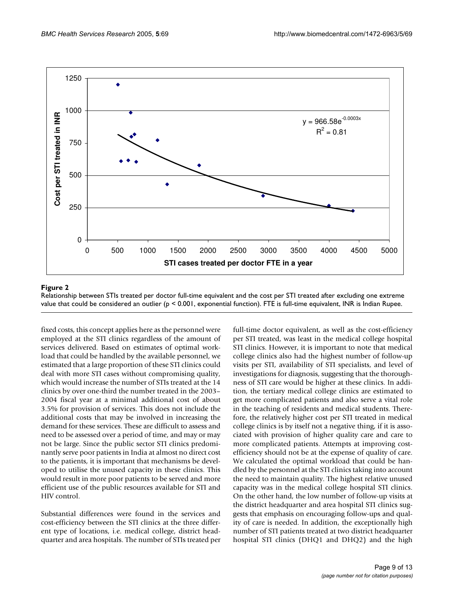

#### Figure 2 and 2008 and 2008 and 2008 and 2008 and 2008 and 2008 and 2008 and 2008 and 2008 and 2008 and 2008 and

Relationship between STIs treated per doctor full-time equivalent and the cost per STI treated after excluding one extreme value that could be considered an outlier (p < 0.001, exponential function). FTE is full-time equivalent, INR is Indian Rupee.

fixed costs, this concept applies here as the personnel were employed at the STI clinics regardless of the amount of services delivered. Based on estimates of optimal workload that could be handled by the available personnel, we estimated that a large proportion of these STI clinics could deal with more STI cases without compromising quality, which would increase the number of STIs treated at the 14 clinics by over one-third the number treated in the 2003– 2004 fiscal year at a minimal additional cost of about 3.5% for provision of services. This does not include the additional costs that may be involved in increasing the demand for these services. These are difficult to assess and need to be assessed over a period of time, and may or may not be large. Since the public sector STI clinics predominantly serve poor patients in India at almost no direct cost to the patients, it is important that mechanisms be developed to utilise the unused capacity in these clinics. This would result in more poor patients to be served and more efficient use of the public resources available for STI and HIV control.

Substantial differences were found in the services and cost-efficiency between the STI clinics at the three different type of locations, i.e. medical college, district headquarter and area hospitals. The number of STIs treated per full-time doctor equivalent, as well as the cost-efficiency per STI treated, was least in the medical college hospital STI clinics. However, it is important to note that medical college clinics also had the highest number of follow-up visits per STI, availability of STI specialists, and level of investigations for diagnosis, suggesting that the thoroughness of STI care would be higher at these clinics. In addition, the tertiary medical college clinics are estimated to get more complicated patients and also serve a vital role in the teaching of residents and medical students. Therefore, the relatively higher cost per STI treated in medical college clinics is by itself not a negative thing, if it is associated with provision of higher quality care and care to more complicated patients. Attempts at improving costefficiency should not be at the expense of quality of care. We calculated the optimal workload that could be handled by the personnel at the STI clinics taking into account the need to maintain quality. The highest relative unused capacity was in the medical college hospital STI clinics. On the other hand, the low number of follow-up visits at the district headquarter and area hospital STI clinics suggests that emphasis on encouraging follow-ups and quality of care is needed. In addition, the exceptionally high number of STI patients treated at two district headquarter hospital STI clinics (DHQ1 and DHQ2) and the high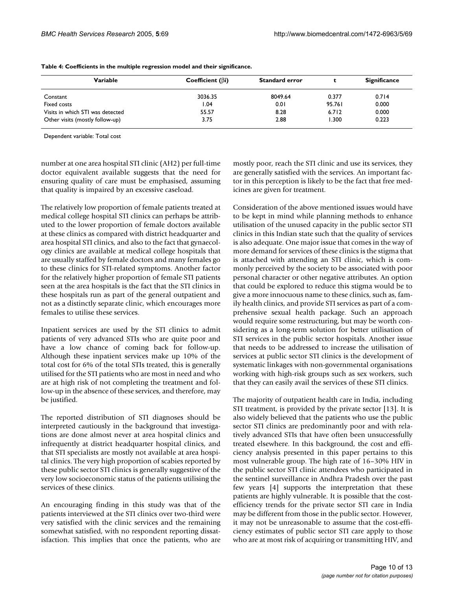| Variable                         | Coefficient ( $\beta$ i) | <b>Standard error</b> |        | <b>Significance</b> |
|----------------------------------|--------------------------|-----------------------|--------|---------------------|
| Constant                         | 3036.35                  | 8049.64               | 0.377  | 0.714               |
| Fixed costs                      | l.04                     | 0.01                  | 95.761 | 0.000               |
| Visits in which STI was detected | 55.57                    | 8.28                  | 6.712  | 0.000               |
| Other visits (mostly follow-up)  | 3.75                     | 2.88                  | 1.300  | 0.223               |

**Table 4: Coefficients in the multiple regression model and their significance.**

Dependent variable: Total cost

number at one area hospital STI clinic (AH2) per full-time doctor equivalent available suggests that the need for ensuring quality of care must be emphasised, assuming that quality is impaired by an excessive caseload.

The relatively low proportion of female patients treated at medical college hospital STI clinics can perhaps be attributed to the lower proportion of female doctors available at these clinics as compared with district headquarter and area hospital STI clinics, and also to the fact that gynaecology clinics are available at medical college hospitals that are usually staffed by female doctors and many females go to these clinics for STI-related symptoms. Another factor for the relatively higher proportion of female STI patients seen at the area hospitals is the fact that the STI clinics in these hospitals run as part of the general outpatient and not as a distinctly separate clinic, which encourages more females to utilise these services.

Inpatient services are used by the STI clinics to admit patients of very advanced STIs who are quite poor and have a low chance of coming back for follow-up. Although these inpatient services make up 10% of the total cost for 6% of the total STIs treated, this is generally utilised for the STI patients who are most in need and who are at high risk of not completing the treatment and follow-up in the absence of these services, and therefore, may be justified.

The reported distribution of STI diagnoses should be interpreted cautiously in the background that investigations are done almost never at area hospital clinics and infrequently at district headquarter hospital clinics, and that STI specialists are mostly not available at area hospital clinics. The very high proportion of scabies reported by these public sector STI clinics is generally suggestive of the very low socioeconomic status of the patients utilising the services of these clinics.

An encouraging finding in this study was that of the patients interviewed at the STI clinics over two-third were very satisfied with the clinic services and the remaining somewhat satisfied, with no respondent reporting dissatisfaction. This implies that once the patients, who are mostly poor, reach the STI clinic and use its services, they are generally satisfied with the services. An important factor in this perception is likely to be the fact that free medicines are given for treatment.

Consideration of the above mentioned issues would have to be kept in mind while planning methods to enhance utilisation of the unused capacity in the public sector STI clinics in this Indian state such that the quality of services is also adequate. One major issue that comes in the way of more demand for services of these clinics is the stigma that is attached with attending an STI clinic, which is commonly perceived by the society to be associated with poor personal character or other negative attributes. An option that could be explored to reduce this stigma would be to give a more innocuous name to these clinics, such as, family health clinics, and provide STI services as part of a comprehensive sexual health package. Such an approach would require some restructuring, but may be worth considering as a long-term solution for better utilisation of STI services in the public sector hospitals. Another issue that needs to be addressed to increase the utilisation of services at public sector STI clinics is the development of systematic linkages with non-governmental organisations working with high-risk groups such as sex workers, such that they can easily avail the services of these STI clinics.

The majority of outpatient health care in India, including STI treatment, is provided by the private sector [13]. It is also widely believed that the patients who use the public sector STI clinics are predominantly poor and with relatively advanced STIs that have often been unsuccessfully treated elsewhere. In this background, the cost and efficiency analysis presented in this paper pertains to this most vulnerable group. The high rate of 16–30% HIV in the public sector STI clinic attendees who participated in the sentinel surveillance in Andhra Pradesh over the past few years [4] supports the interpretation that these patients are highly vulnerable. It is possible that the costefficiency trends for the private sector STI care in India may be different from those in the public sector. However, it may not be unreasonable to assume that the cost-efficiency estimates of public sector STI care apply to those who are at most risk of acquiring or transmitting HIV, and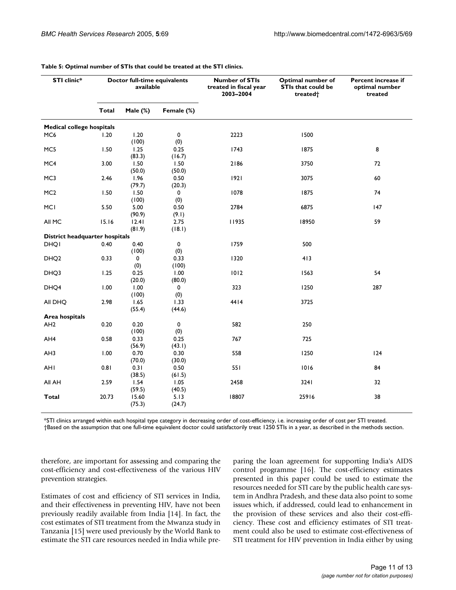| STI clinic*                      |       | Doctor full-time equivalents<br>available |                    | <b>Number of STIs</b><br>treated in fiscal year<br>2003-2004 | Optimal number of<br><b>STIs that could be</b><br>treated <sup>+</sup> | Percent increase if<br>optimal number<br>treated |  |
|----------------------------------|-------|-------------------------------------------|--------------------|--------------------------------------------------------------|------------------------------------------------------------------------|--------------------------------------------------|--|
|                                  | Total | Male $(\%)$                               | Female (%)         |                                                              |                                                                        |                                                  |  |
| <b>Medical college hospitals</b> |       |                                           |                    |                                                              |                                                                        |                                                  |  |
| MC <sub>6</sub>                  | 1.20  | 1.20<br>(100)                             | 0<br>(0)           | 2223                                                         | 1500                                                                   |                                                  |  |
| MC5                              | 1.50  | 1.25<br>(83.3)                            | 0.25<br>(16.7)     | 1743                                                         | 1875                                                                   | 8                                                |  |
| MC4                              | 3.00  | 1.50<br>(50.0)                            | 1.50<br>(50.0)     | 2186                                                         | 3750                                                                   | 72                                               |  |
| MC3                              | 2.46  | 1.96<br>(79.7)                            | 0.50<br>(20.3)     | 1921                                                         | 3075                                                                   | 60                                               |  |
| MC <sub>2</sub>                  | 1.50  | 1.50<br>(100)                             | $\mathbf 0$<br>(0) | 1078                                                         | 1875                                                                   | 74                                               |  |
| MCI                              | 5.50  | 5.00<br>(90.9)                            | 0.50<br>(9.1)      | 2784                                                         | 6875                                                                   | 147                                              |  |
| All MC                           | 15.16 | 12.41<br>(81.9)                           | 2.75<br>(18.1)     | 11935                                                        | 18950                                                                  | 59                                               |  |
| District headquarter hospitals   |       |                                           |                    |                                                              |                                                                        |                                                  |  |
| <b>DHQI</b>                      | 0.40  | 0.40<br>(100)                             | 0<br>(0)           | 1759                                                         | 500                                                                    |                                                  |  |
| DHQ <sub>2</sub>                 | 0.33  | 0<br>(0)                                  | 0.33<br>(100)      | 1320                                                         | 413                                                                    |                                                  |  |
| DHQ3                             | 1.25  | 0.25<br>(20.0)                            | 1.00<br>(80.0)     | 1012                                                         | 1563                                                                   | 54                                               |  |
| DHQ4                             | 1.00  | 1.00<br>(100)                             | 0<br>(0)           | 323                                                          | 1250                                                                   | 287                                              |  |
| All DHQ                          | 2.98  | 1.65<br>(55.4)                            | 1.33<br>(44.6)     | 4414                                                         | 3725                                                                   |                                                  |  |
| Area hospitals                   |       |                                           |                    |                                                              |                                                                        |                                                  |  |
| AH2                              | 0.20  | 0.20<br>(100)                             | 0<br>(0)           | 582                                                          | 250                                                                    |                                                  |  |
| AH <sub>4</sub>                  | 0.58  | 0.33<br>(56.9)                            | 0.25<br>(43.1)     | 767                                                          | 725                                                                    |                                                  |  |
| AH3                              | 1.00  | 0.70<br>(70.0)                            | 0.30<br>(30.0)     | 558                                                          | 1250                                                                   | 124                                              |  |
| AHI                              | 0.81  | 0.31<br>(38.5)                            | 0.50<br>(61.5)     | 551                                                          | 1016                                                                   | 84                                               |  |
| All AH                           | 2.59  | 1.54<br>(59.5)                            | 1.05<br>(40.5)     | 2458                                                         | 3241                                                                   | 32                                               |  |
| Total                            | 20.73 | 15.60<br>(75.3)                           | 5.13<br>(24.7)     | 18807                                                        | 25916                                                                  | 38                                               |  |

**Table 5: Optimal number of STIs that could be treated at the STI clinics.**

\*STI clinics arranged within each hospital type category in decreasing order of cost-efficiency, i.e. increasing order of cost per STI treated. †Based on the assumption that one full-time equivalent doctor could satisfactorily treat 1250 STIs in a year, as described in the methods section.

therefore, are important for assessing and comparing the cost-efficiency and cost-effectiveness of the various HIV prevention strategies.

Estimates of cost and efficiency of STI services in India, and their effectiveness in preventing HIV, have not been previously readily available from India [14]. In fact, the cost estimates of STI treatment from the Mwanza study in Tanzania [15] were used previously by the World Bank to estimate the STI care resources needed in India while preparing the loan agreement for supporting India's AIDS control programme [16]. The cost-efficiency estimates presented in this paper could be used to estimate the resources needed for STI care by the public health care system in Andhra Pradesh, and these data also point to some issues which, if addressed, could lead to enhancement in the provision of these services and also their cost-efficiency. These cost and efficiency estimates of STI treatment could also be used to estimate cost-effectiveness of STI treatment for HIV prevention in India either by using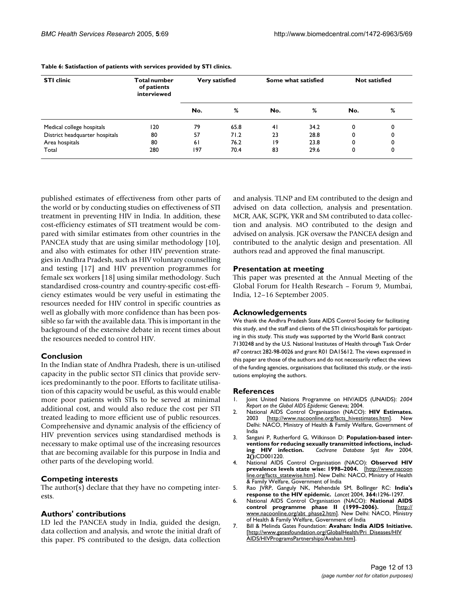| <b>STI</b> clinic              | Total number<br>of patients<br>interviewed | Very satisfied |      | Some what satisfied |      | <b>Not satisfied</b> |   |
|--------------------------------|--------------------------------------------|----------------|------|---------------------|------|----------------------|---|
|                                |                                            | No.            | %    | No.                 | %    | No.                  | % |
| Medical college hospitals      | 120                                        | 79             | 65.8 | 41                  | 34.2 | 0                    | 0 |
| District headquarter hospitals | 80                                         | 57             | 71.2 | 23                  | 28.8 | 0                    | 0 |
| Area hospitals                 | 80                                         | 61             | 76.2 | 19                  | 23.8 | 0                    | 0 |
| Total                          | 280                                        | 197            | 70.4 | 83                  | 29.6 | 0                    | 0 |

**Table 6: Satisfaction of patients with services provided by STI clinics.**

published estimates of effectiveness from other parts of the world or by conducting studies on effectiveness of STI treatment in preventing HIV in India. In addition, these cost-efficiency estimates of STI treatment would be compared with similar estimates from other countries in the PANCEA study that are using similar methodology [10], and also with estimates for other HIV prevention strategies in Andhra Pradesh, such as HIV voluntary counselling and testing [17] and HIV prevention programmes for female sex workers [18] using similar methodology. Such standardised cross-country and country-specific cost-efficiency estimates would be very useful in estimating the resources needed for HIV control in specific countries as well as globally with more confidence than has been possible so far with the available data. This is important in the background of the extensive debate in recent times about the resources needed to control HIV.

#### **Conclusion**

In the Indian state of Andhra Pradesh, there is un-utilised capacity in the public sector STI clinics that provide services predominantly to the poor. Efforts to facilitate utilisation of this capacity would be useful, as this would enable more poor patients with STIs to be served at minimal additional cost, and would also reduce the cost per STI treated leading to more efficient use of public resources. Comprehensive and dynamic analysis of the efficiency of HIV prevention services using standardised methods is necessary to make optimal use of the increasing resources that are becoming available for this purpose in India and other parts of the developing world.

#### **Competing interests**

The author(s) declare that they have no competing interests.

#### **Authors' contributions**

LD led the PANCEA study in India, guided the design, data collection and analysis, and wrote the initial draft of this paper. PS contributed to the design, data collection and analysis. TLNP and EM contributed to the design and advised on data collection, analysis and presentation. MCR, AAK, SGPK, YKR and SM contributed to data collection and analysis. MO contributed to the design and advised on analysis. JGK oversaw the PANCEA design and contributed to the analytic design and presentation. All authors read and approved the final manuscript.

#### **Presentation at meeting**

This paper was presented at the Annual Meeting of the Global Forum for Health Research – Forum 9, Mumbai, India, 12–16 September 2005.

#### **Acknowledgements**

We thank the Andhra Pradesh State AIDS Control Society for facilitating this study, and the staff and clients of the STI clinics/hospitals for participating in this study. This study was supported by the World Bank contract 7130248 and by the U.S. National Institutes of Health through Task Order #7 contract 282-98-0026 and grant R01 DA15612. The views expressed in this paper are those of the authors and do not necessarily reflect the views of the funding agencies, organisations that facilitated this study, or the institutions employing the authors.

#### **References**

- 1. Joint United Nations Programme on HIV/AIDS (UNAIDS): *2004 Report on the Global AIDS Epidemic* Geneva; 2004.
- 2. National AIDS Control Organisation (NACO): **HIV Estimates.** [\[http://www.nacoonline.org/facts\\_hivestimates.htm\]](http://www.nacoonline.org/facts_hivestimates.htm). New Delhi: NACO, Ministry of Health & Family Welfare, Government of India
- 3. Sangani P, Rutherford G, Wilkinson D: **[Population-based inter](http://www.ncbi.nlm.nih.gov/entrez/query.fcgi?cmd=Retrieve&db=PubMed&dopt=Abstract&list_uids=15106156)ventions for reducing sexually transmitted infections, including HIV infection.** Cochrane Database Syst Rev 2004, **[ing HIV infection.](http://www.ncbi.nlm.nih.gov/entrez/query.fcgi?cmd=Retrieve&db=PubMed&dopt=Abstract&list_uids=15106156)** *Cochrane Database Syst Rev* 2004, **2():**CD001220.
- 4. National AIDS Control Organisation (NACO): **Observed HIV prevalence levels state wise: 1998–2004.** [[http://www.nacoon](http://www.nacoonline.org/facts_statewise.htm) [line.org/facts\\_statewise.htm\]](http://www.nacoonline.org/facts_statewise.htm). New Delhi: NACO, Ministry of Health & Family Welfare, Government of India
- 5. Rao JVRP, Ganguly NK, Mehendale SM, Bollinger RC: **[India's](http://www.ncbi.nlm.nih.gov/entrez/query.fcgi?cmd=Retrieve&db=PubMed&dopt=Abstract&list_uids=15474121) [response to the HIV epidemic.](http://www.ncbi.nlm.nih.gov/entrez/query.fcgi?cmd=Retrieve&db=PubMed&dopt=Abstract&list_uids=15474121)** *Lancet* 2004, **364:**1296-1297.
- 6. National AIDS Control Organisation (NACO): **National AIDS** control programme phase II (1999–2006). [www.nacoonline.org/abt\\_phase2.htm](http://www.nacoonline.org/abt_phase2.htm)]. New Delhi: NACO, Ministry of Health & Family Welfare, Government of India
- 7. Bill & Melinda Gates Foundation: **Avahan: India AIDS Initiative.** [[http://www.gatesfoundation.org/GlobalHealth/Pri\\_Diseases/HIV](http://www.gatesfoundation.org/GlobalHealth/Pri_Diseases/HIVAIDS/HIVProgramsPartnerships/Avahan.htm) [AIDS/HIVProgramsPartnerships/Avahan.htm\]](http://www.gatesfoundation.org/GlobalHealth/Pri_Diseases/HIVAIDS/HIVProgramsPartnerships/Avahan.htm).